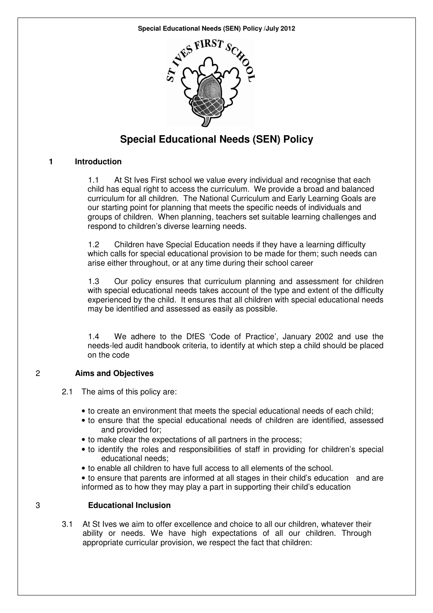**Special Educational Needs (SEN) Policy /July 2012** 



# **Special Educational Needs (SEN) Policy**

#### **1 Introduction**

1.1 At St Ives First school we value every individual and recognise that each child has equal right to access the curriculum. We provide a broad and balanced curriculum for all children. The National Curriculum and Early Learning Goals are our starting point for planning that meets the specific needs of individuals and groups of children. When planning, teachers set suitable learning challenges and respond to children's diverse learning needs.

1.2 Children have Special Education needs if they have a learning difficulty which calls for special educational provision to be made for them; such needs can arise either throughout, or at any time during their school career

1.3 Our policy ensures that curriculum planning and assessment for children with special educational needs takes account of the type and extent of the difficulty experienced by the child. It ensures that all children with special educational needs may be identified and assessed as easily as possible.

1.4 We adhere to the DfES 'Code of Practice', January 2002 and use the needs-led audit handbook criteria, to identify at which step a child should be placed on the code

### 2 **Aims and Objectives**

- 2.1 The aims of this policy are:
	- to create an environment that meets the special educational needs of each child;
	- to ensure that the special educational needs of children are identified, assessed and provided for;
	- to make clear the expectations of all partners in the process;
	- to identify the roles and responsibilities of staff in providing for children's special educational needs;
	- to enable all children to have full access to all elements of the school.
	- to ensure that parents are informed at all stages in their child's education and are informed as to how they may play a part in supporting their child's education

## 3 **Educational Inclusion**

3.1 At St Ives we aim to offer excellence and choice to all our children, whatever their ability or needs. We have high expectations of all our children. Through appropriate curricular provision, we respect the fact that children: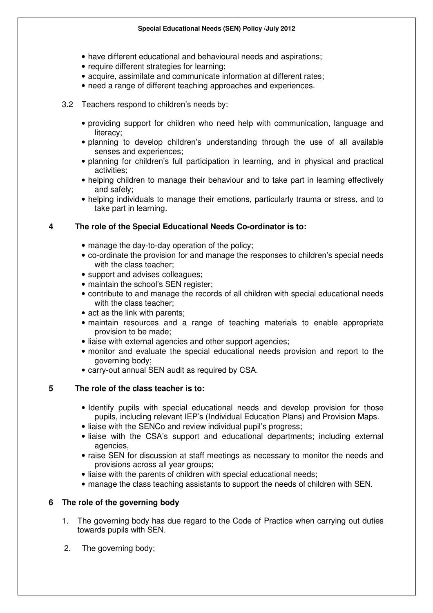- have different educational and behavioural needs and aspirations;
- require different strategies for learning;
- acquire, assimilate and communicate information at different rates;
- need a range of different teaching approaches and experiences.
- 3.2 Teachers respond to children's needs by:
	- providing support for children who need help with communication, language and literacy;
	- planning to develop children's understanding through the use of all available senses and experiences;
	- planning for children's full participation in learning, and in physical and practical activities;
	- helping children to manage their behaviour and to take part in learning effectively and safely;
	- helping individuals to manage their emotions, particularly trauma or stress, and to take part in learning.

### **4 The role of the Special Educational Needs Co-ordinator is to:**

- manage the day-to-day operation of the policy;
- co-ordinate the provision for and manage the responses to children's special needs with the class teacher:
- support and advises colleagues;
- maintain the school's SEN register;
- contribute to and manage the records of all children with special educational needs with the class teacher;
- act as the link with parents;
- maintain resources and a range of teaching materials to enable appropriate provision to be made;
- liaise with external agencies and other support agencies;
- monitor and evaluate the special educational needs provision and report to the governing body;
- carry-out annual SEN audit as required by CSA.

### **5 The role of the class teacher is to:**

- Identify pupils with special educational needs and develop provision for those pupils, including relevant IEP's (Individual Education Plans) and Provision Maps.
- liaise with the SENCo and review individual pupil's progress;
- liaise with the CSA's support and educational departments; including external agencies,
- raise SEN for discussion at staff meetings as necessary to monitor the needs and provisions across all year groups;
- liaise with the parents of children with special educational needs;
- manage the class teaching assistants to support the needs of children with SEN.

### **6 The role of the governing body**

- 1. The governing body has due regard to the Code of Practice when carrying out duties towards pupils with SEN.
- 2. The governing body;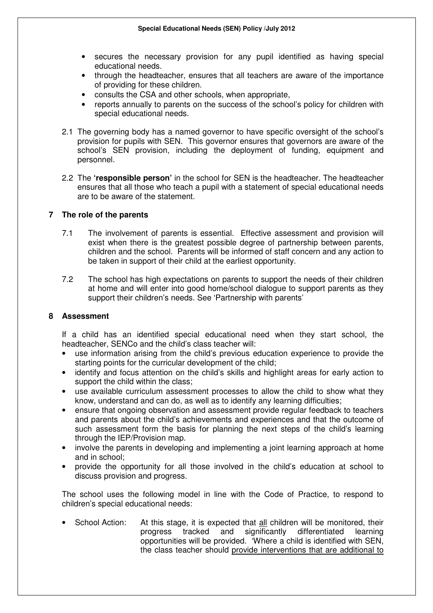- secures the necessary provision for any pupil identified as having special educational needs.
- through the headteacher, ensures that all teachers are aware of the importance of providing for these children.
- consults the CSA and other schools, when appropriate,
- reports annually to parents on the success of the school's policy for children with special educational needs.
- 2.1 The governing body has a named governor to have specific oversight of the school's provision for pupils with SEN. This governor ensures that governors are aware of the school's SEN provision, including the deployment of funding, equipment and personnel.
- 2.2 The **'responsible person'** in the school for SEN is the headteacher. The headteacher ensures that all those who teach a pupil with a statement of special educational needs are to be aware of the statement.

#### **7 The role of the parents**

- 7.1 The involvement of parents is essential. Effective assessment and provision will exist when there is the greatest possible degree of partnership between parents, children and the school. Parents will be informed of staff concern and any action to be taken in support of their child at the earliest opportunity.
- 7.2 The school has high expectations on parents to support the needs of their children at home and will enter into good home/school dialogue to support parents as they support their children's needs. See 'Partnership with parents'

#### **8 Assessment**

If a child has an identified special educational need when they start school, the headteacher, SENCo and the child's class teacher will:

- use information arising from the child's previous education experience to provide the starting points for the curricular development of the child;
- identify and focus attention on the child's skills and highlight areas for early action to support the child within the class;
- use available curriculum assessment processes to allow the child to show what they know, understand and can do, as well as to identify any learning difficulties;
- ensure that ongoing observation and assessment provide regular feedback to teachers and parents about the child's achievements and experiences and that the outcome of such assessment form the basis for planning the next steps of the child's learning through the IEP/Provision map.
- involve the parents in developing and implementing a joint learning approach at home and in school;
- provide the opportunity for all those involved in the child's education at school to discuss provision and progress.

The school uses the following model in line with the Code of Practice, to respond to children's special educational needs:

• School Action: At this stage, it is expected that all children will be monitored, their progress tracked and significantly differentiated learning opportunities will be provided. 'Where a child is identified with SEN, the class teacher should provide interventions that are additional to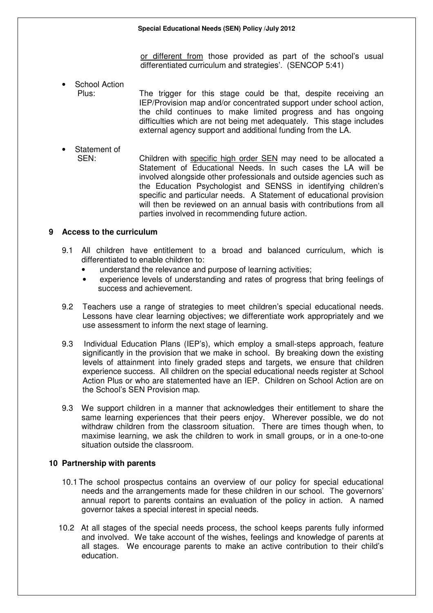or different from those provided as part of the school's usual differentiated curriculum and strategies'. (SENCOP 5:41)

School Action

Plus: The trigger for this stage could be that, despite receiving an IEP/Provision map and/or concentrated support under school action, the child continues to make limited progress and has ongoing difficulties which are not being met adequately. This stage includes external agency support and additional funding from the LA.

Statement of SEN: Children with specific high order SEN may need to be allocated a Statement of Educational Needs. In such cases the LA will be involved alongside other professionals and outside agencies such as the Education Psychologist and SENSS in identifying children's specific and particular needs. A Statement of educational provision will then be reviewed on an annual basis with contributions from all parties involved in recommending future action.

#### **9 Access to the curriculum**

- 9.1 All children have entitlement to a broad and balanced curriculum, which is differentiated to enable children to:
	- understand the relevance and purpose of learning activities;
	- experience levels of understanding and rates of progress that bring feelings of success and achievement.
- 9.2 Teachers use a range of strategies to meet children's special educational needs. Lessons have clear learning objectives; we differentiate work appropriately and we use assessment to inform the next stage of learning.
- 9.3 Individual Education Plans (IEP's), which employ a small-steps approach, feature significantly in the provision that we make in school. By breaking down the existing levels of attainment into finely graded steps and targets, we ensure that children experience success. All children on the special educational needs register at School Action Plus or who are statemented have an IEP. Children on School Action are on the School's SEN Provision map.
- 9.3 We support children in a manner that acknowledges their entitlement to share the same learning experiences that their peers enjoy. Wherever possible, we do not withdraw children from the classroom situation. There are times though when, to maximise learning, we ask the children to work in small groups, or in a one-to-one situation outside the classroom.

#### **10 Partnership with parents**

- 10.1 The school prospectus contains an overview of our policy for special educational needs and the arrangements made for these children in our school. The governors' annual report to parents contains an evaluation of the policy in action. A named governor takes a special interest in special needs.
- 10.2 At all stages of the special needs process, the school keeps parents fully informed and involved. We take account of the wishes, feelings and knowledge of parents at all stages. We encourage parents to make an active contribution to their child's education.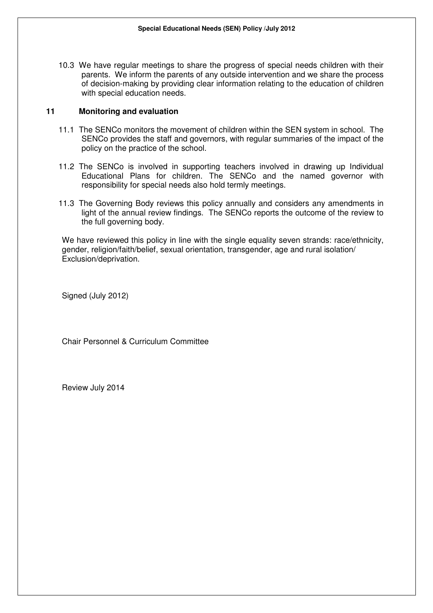10.3 We have regular meetings to share the progress of special needs children with their parents. We inform the parents of any outside intervention and we share the process of decision-making by providing clear information relating to the education of children with special education needs.

#### **11 Monitoring and evaluation**

- 11.1 The SENCo monitors the movement of children within the SEN system in school. The SENCo provides the staff and governors, with regular summaries of the impact of the policy on the practice of the school.
- 11.2 The SENCo is involved in supporting teachers involved in drawing up Individual Educational Plans for children. The SENCo and the named governor with responsibility for special needs also hold termly meetings.
- 11.3 The Governing Body reviews this policy annually and considers any amendments in light of the annual review findings. The SENCo reports the outcome of the review to the full governing body.

We have reviewed this policy in line with the single equality seven strands: race/ethnicity, gender, religion/faith/belief, sexual orientation, transgender, age and rural isolation/ Exclusion/deprivation.

Signed (July 2012)

Chair Personnel & Curriculum Committee

Review July 2014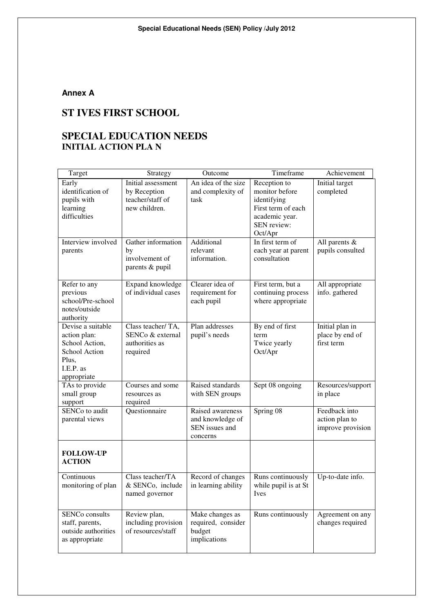## **Annex A**

# **ST IVES FIRST SCHOOL**

# **SPECIAL EDUCATION NEEDS INITIAL ACTION PLA N**

| Target                        | Strategy            | Outcome             | Timeframe            | Achievement       |
|-------------------------------|---------------------|---------------------|----------------------|-------------------|
| Early                         | Initial assessment  | An idea of the size | Reception to         | Initial target    |
| identification of             | by Reception        | and complexity of   | monitor before       | completed         |
| pupils with                   | teacher/staff of    | task                | identifying          |                   |
| learning                      | new children.       |                     | First term of each   |                   |
| difficulties                  |                     |                     | academic year.       |                   |
|                               |                     |                     | SEN review:          |                   |
|                               |                     |                     | Oct/Apr              |                   |
| Interview involved            | Gather information  | Additional          | In first term of     | All parents $&$   |
| parents                       | by                  | relevant            | each year at parent  | pupils consulted  |
|                               | involvement of      | information.        | consultation         |                   |
|                               | parents & pupil     |                     |                      |                   |
|                               |                     |                     |                      |                   |
| Refer to any                  | Expand knowledge    | Clearer idea of     | First term, but a    | All appropriate   |
| previous                      | of individual cases | requirement for     | continuing process   | info. gathered    |
| school/Pre-school             |                     | each pupil          | where appropriate    |                   |
| notes/outside                 |                     |                     |                      |                   |
| authority                     |                     |                     |                      |                   |
| Devise a suitable             | Class teacher/TA,   | Plan addresses      | By end of first      | Initial plan in   |
| action plan:                  | SENCo & external    | pupil's needs       | term                 | place by end of   |
| School Action,                | authorities as      |                     | Twice yearly         | first term        |
| School Action                 | required            |                     | Oct/Apr              |                   |
| Plus,<br>I.E.P. as            |                     |                     |                      |                   |
|                               |                     |                     |                      |                   |
| appropriate<br>TAs to provide | Courses and some    | Raised standards    | Sept 08 ongoing      | Resources/support |
| small group                   | resources as        | with SEN groups     |                      | in place          |
| support                       | required            |                     |                      |                   |
| SENCo to audit                | Questionnaire       | Raised awareness    | Spring 08            | Feedback into     |
| parental views                |                     | and knowledge of    |                      | action plan to    |
|                               |                     | SEN issues and      |                      | improve provision |
|                               |                     | concerns            |                      |                   |
|                               |                     |                     |                      |                   |
| <b>FOLLOW-UP</b>              |                     |                     |                      |                   |
| <b>ACTION</b>                 |                     |                     |                      |                   |
|                               |                     |                     |                      |                   |
| Continuous                    | Class teacher/TA    | Record of changes   | Runs continuously    | Up-to-date info.  |
| monitoring of plan            | & SENCo, include    | in learning ability | while pupil is at St |                   |
|                               | named governor      |                     | Ives                 |                   |
|                               |                     |                     |                      |                   |
| SENCo consults                | Review plan,        | Make changes as     | Runs continuously    | Agreement on any  |
| staff, parents,               | including provision | required, consider  |                      | changes required  |
| outside authorities           | of resources/staff  | budget              |                      |                   |
| as appropriate                |                     | implications        |                      |                   |
|                               |                     |                     |                      |                   |